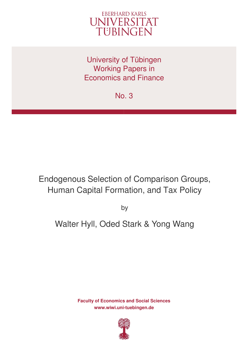

University of Tübingen Working P Papers in **Economics and Finance** 

No. 3

# **Endogenous Selection of Comparison Groups,** Human Capital Formation, and Tax Policy

b by

# Walter Hyll, Oded Stark & Yong Wang

**Faculty of Economics s and Social Sciences www.wiwi.uni- -tuebingen.de**

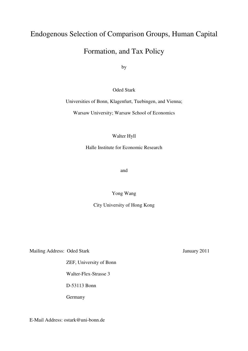# Endogenous Selection of Comparison Groups, Human Capital

# Formation, and Tax Policy

by

Oded Stark

## Universities of Bonn, Klagenfurt, Tuebingen, and Vienna;

Warsaw University; Warsaw School of Economics

Walter Hyll

Halle Institute for Economic Research

and

Yong Wang

## City University of Hong Kong

Mailing Address: Oded Stark January 2011

ZEF, University of Bonn

Walter-Flex-Strasse 3

D-53113 Bonn

Germany

E-Mail Address: ostark@uni-bonn.de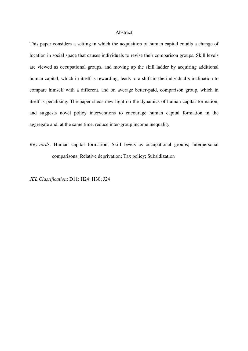#### Abstract

This paper considers a setting in which the acquisition of human capital entails a change of location in social space that causes individuals to revise their comparison groups. Skill levels are viewed as occupational groups, and moving up the skill ladder by acquiring additional human capital, which in itself is rewarding, leads to a shift in the individual's inclination to compare himself with a different, and on average better-paid, comparison group, which in itself is penalizing. The paper sheds new light on the dynamics of human capital formation, and suggests novel policy interventions to encourage human capital formation in the aggregate and, at the same time, reduce inter-group income inequality.

*Keywords*: Human capital formation; Skill levels as occupational groups; Interpersonal comparisons; Relative deprivation; Tax policy; Subsidization

*JEL Classification*: D11; H24; H30; J24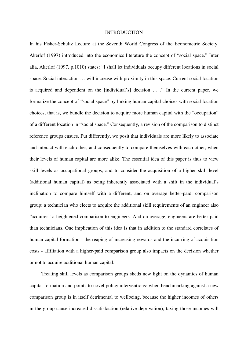#### INTRODUCTION

In his Fisher-Schultz Lecture at the Seventh World Congress of the Econometric Society, Akerlof (1997) introduced into the economics literature the concept of "social space." Inter alia, Akerlof (1997, p.1010) states: "I shall let individuals occupy different locations in social space. Social interaction … will increase with proximity in this space. Current social location is acquired and dependent on the [individual's] decision … ." In the current paper, we formalize the concept of "social space" by linking human capital choices with social location choices, that is, we bundle the decision to acquire more human capital with the "occupation" of a different location in "social space." Consequently, a revision of the comparison to distinct reference groups ensues. Put differently, we posit that individuals are more likely to associate and interact with each other, and consequently to compare themselves with each other, when their levels of human capital are more alike. The essential idea of this paper is thus to view skill levels as occupational groups, and to consider the acquisition of a higher skill level (additional human capital) as being inherently associated with a shift in the individual's inclination to compare himself with a different, and on average better-paid, comparison group: a technician who elects to acquire the additional skill requirements of an engineer also "acquires" a heightened comparison to engineers. And on average, engineers are better paid than technicians. One implication of this idea is that in addition to the standard correlates of human capital formation - the reaping of increasing rewards and the incurring of acquisition costs - affiliation with a higher-paid comparison group also impacts on the decision whether or not to acquire additional human capital.

Treating skill levels as comparison groups sheds new light on the dynamics of human capital formation and points to novel policy interventions: when benchmarking against a new comparison group is in itself detrimental to wellbeing, because the higher incomes of others in the group cause increased dissatisfaction (relative deprivation), taxing those incomes will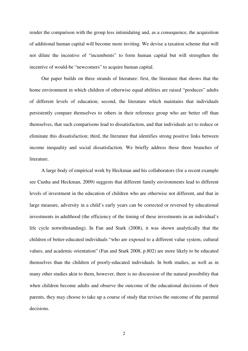render the comparison with the group less intimidating and, as a consequence, the acquisition of additional human capital will become more inviting. We devise a taxation scheme that will not dilute the incentive of "incumbents" to form human capital but will strengthen the incentive of would-be "newcomers" to acquire human capital.

Our paper builds on three strands of literature: first, the literature that shows that the home environment in which children of otherwise equal abilities are raised "produces" adults of different levels of education; second, the literature which maintains that individuals persistently compare themselves to others in their reference group who are better off than themselves, that such comparisons lead to dissatisfaction, and that individuals act to reduce or eliminate this dissatisfaction; third, the literature that identifies strong positive links between income inequality and social dissatisfaction. We briefly address these three branches of literature.

A large body of empirical work by Heckman and his collaborators (for a recent example see Cunha and Heckman, 2009) suggests that different family environments lead to different levels of investment in the education of children who are otherwise not different, and that in large measure, adversity in a child's early years can be corrected or reversed by educational investments in adulthood (the efficiency of the timing of these investments in an individual's life cycle notwithstanding). In Fan and Stark (2008), it was shown analytically that the children of better-educated individuals "who are exposed to a different value system, cultural values, and academic orientation" (Fan and Stark 2008, p.802) are more likely to be educated themselves than the children of poorly-educated individuals. In both studies, as well as in many other studies akin to them, however, there is no discussion of the natural possibility that when children become adults and observe the outcome of the educational decisions of their parents, they may choose to take up a course of study that revises the outcome of the parental decisions.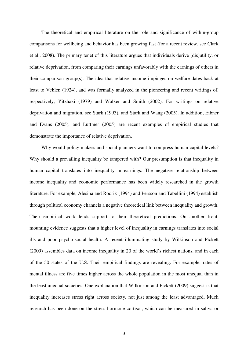The theoretical and empirical literature on the role and significance of within-group comparisons for wellbeing and behavior has been growing fast (for a recent review, see Clark et al., 2008). The primary tenet of this literature argues that individuals derive (dis)utility, or relative deprivation, from comparing their earnings unfavorably with the earnings of others in their comparison group(s). The idea that relative income impinges on welfare dates back at least to Veblen (1924), and was formally analyzed in the pioneering and recent writings of, respectively, Yitzhaki (1979) and Walker and Smith (2002). For writings on relative deprivation and migration, see Stark (1993), and Stark and Wang (2005). In addition, Eibner and Evans (2005), and Luttmer (2005) are recent examples of empirical studies that demonstrate the importance of relative deprivation.

Why would policy makers and social planners want to compress human capital levels? Why should a prevailing inequality be tampered with? Our presumption is that inequality in human capital translates into inequality in earnings. The negative relationship between income inequality and economic performance has been widely researched in the growth literature. For example, Alesina and Rodrik (1994) and Persson and Tabellini (1994) establish through political economy channels a negative theoretical link between inequality and growth. Their empirical work lends support to their theoretical predictions. On another front, mounting evidence suggests that a higher level of inequality in earnings translates into social ills and poor psycho-social health. A recent illuminating study by Wilkinson and Pickett (2009) assembles data on income inequality in 20 of the world's richest nations, and in each of the 50 states of the U.S. Their empirical findings are revealing. For example, rates of mental illness are five times higher across the whole population in the most unequal than in the least unequal societies. One explanation that Wilkinson and Pickett (2009) suggest is that inequality increases stress right across society, not just among the least advantaged. Much research has been done on the stress hormone cortisol, which can be measured in saliva or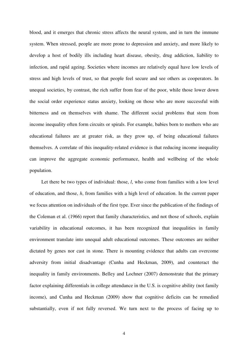blood, and it emerges that chronic stress affects the neural system, and in turn the immune system. When stressed, people are more prone to depression and anxiety, and more likely to develop a host of bodily ills including heart disease, obesity, drug addiction, liability to infection, and rapid ageing. Societies where incomes are relatively equal have low levels of stress and high levels of trust, so that people feel secure and see others as cooperators. In unequal societies, by contrast, the rich suffer from fear of the poor, while those lower down the social order experience status anxiety, looking on those who are more successful with bitterness and on themselves with shame. The different social problems that stem from income inequality often form circuits or spirals. For example, babies born to mothers who are educational failures are at greater risk, as they grow up, of being educational failures themselves. A correlate of this inequality-related evidence is that reducing income inequality can improve the aggregate economic performance, health and wellbeing of the whole population.

Let there be two types of individual: those, *l*, who come from families with a low level of education, and those, *h*, from families with a high level of education. In the current paper we focus attention on individuals of the first type. Ever since the publication of the findings of the Coleman et al. (1966) report that family characteristics, and not those of schools, explain variability in educational outcomes, it has been recognized that inequalities in family environment translate into unequal adult educational outcomes. These outcomes are neither dictated by genes nor cast in stone. There is mounting evidence that adults can overcome adversity from initial disadvantage (Cunha and Heckman, 2009), and counteract the inequality in family environments. Belley and Lochner (2007) demonstrate that the primary factor explaining differentials in college attendance in the U.S. is cognitive ability (not family income), and Cunha and Heckman (2009) show that cognitive deficits can be remedied substantially, even if not fully reversed. We turn next to the process of facing up to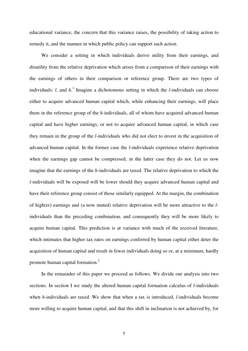educational variance, the concern that this variance raises, the possibility of taking action to remedy it, and the manner in which public policy can support such action.

We consider a setting in which individuals derive utility from their earnings, and disutility from the relative deprivation which arises from a comparison of their earnings with the earnings of others in their comparison or reference group. There are two types of individuals: *l*, and *h*. 1 Imagine a dichotomous setting in which the *l*-individuals can choose either to acquire advanced human capital which, while enhancing their earnings, will place them in the reference group of the *h*-individuals, all of whom have acquired advanced human capital and have higher earnings, or not to acquire advanced human capital, in which case they remain in the group of the *l*-individuals who did not elect to invest in the acquisition of advanced human capital. In the former case the *l*-individuals experience relative deprivation when the earnings gap cannot be compressed; in the latter case they do not. Let us now imagine that the earnings of the *h*-individuals are taxed. The relative deprivation to which the *l*-individuals will be exposed will be lower should they acquire advanced human capital and have their reference group consist of those similarly equipped. At the margin, the combination of high(er) earnings and (a now muted) relative deprivation will be more attractive to the *l*individuals than the preceding combination, and consequently they will be more likely to acquire human capital. This prediction is at variance with much of the received literature, which intimates that higher tax rates on earnings conferred by human capital either deter the acquisition of human capital and result in fewer individuals doing so or, at a minimum, hardly promote human capital formation.<sup>2</sup>

In the remainder of this paper we proceed as follows. We divide our analysis into two sections. In section I we study the altered human capital formation calculus of *l*-individuals when *h*-individuals are taxed. We show that when a tax is introduced, *l*-individuals become more willing to acquire human capital, and that this shift in inclination is not achieved by, for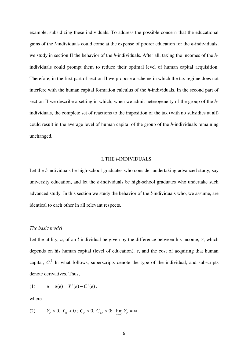example, subsidizing these individuals. To address the possible concern that the educational gains of the *l*-individuals could come at the expense of poorer education for the *h*-individuals, we study in section II the behavior of the *h*-individuals. After all, taxing the incomes of the *h*individuals could prompt them to reduce their optimal level of human capital acquisition. Therefore, in the first part of section II we propose a scheme in which the tax regime does not interfere with the human capital formation calculus of the *h*-individuals. In the second part of section II we describe a setting in which, when we admit heterogeneity of the group of the *h*individuals, the complete set of reactions to the imposition of the tax (with no subsidies at all) could result in the average level of human capital of the group of the *h*-individuals remaining unchanged.

#### I. THE *l*-INDIVIDUALS

Let the *l*-individuals be high-school graduates who consider undertaking advanced study, say university education, and let the *h*-individuals be high-school graduates who undertake such advanced study. In this section we study the behavior of the *l*-individuals who, we assume, are identical to each other in all relevant respects.

#### *The basic model*

Let the utility, *u*, of an *l*-individual be given by the difference between his income, *Y*, which depends on his human capital (level of education), *e*, and the cost of acquiring that human capital,  $C<sup>3</sup>$  In what follows, superscripts denote the type of the individual, and subscripts denote derivatives. Thus,

(1) 
$$
u = u(e) = Y^l(e) - C^l(e)
$$
,

where

(2) 
$$
Y_e > 0
$$
,  $Y_{ee} < 0$ ;  $C_e > 0$ ,  $C_{ee} > 0$ ;  $\lim_{\epsilon \to 0} Y_e = \infty$ .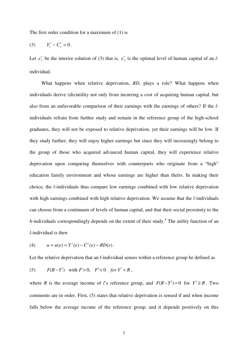The first order condition for a maximum of (1) is

$$
(3) \qquad Y_e^l - C_e^l = 0 \, .
$$

Let  $e_1^*$  be the interior solution of (3) that is,  $e_1^*$  is the optimal level of human capital of an *l*individual.

What happens when relative deprivation, *RD*, plays a role? What happens when individuals derive (dis)utility not only from incurring a cost of acquiring human capital, but also from an unfavorable comparison of their earnings with the earnings of others? If the *l*individuals refrain from further study and remain in the reference group of the high-school graduates, they will not be exposed to relative deprivation, yet their earnings will be low. If they study further, they will enjoy higher earnings but since they will increasingly belong to the group of those who acquired advanced human capital, they will experience relative deprivation upon comparing themselves with counterparts who originate from a "high" education family environment and whose earnings are higher than theirs. In making their choice, the *l*-individuals thus compare low earnings combined with low relative deprivation with high earnings combined with high relative deprivation. We assume that the *l*-individuals can choose from a continuum of levels of human capital, and that their social proximity to the h-individuals correspondingly depends on the extent of their study.<sup>4</sup> The utility function of an *l*-individual is then

(4) 
$$
u = u(e) = Y^{l}(e) - C^{l}(e) - RD(e).
$$

Let the relative deprivation that an *l*-individual senses within a reference group be defined as

(5) 
$$
F(R - Y^l)
$$
 with  $F > 0$ ,  $F' < 0$  for  $Y^l < R$ ,

where *R* is the average income of *l*'s reference group, and  $F(R - Y^l) = 0$  for  $Y^l \ge R$ . Two comments are in order. First, (5) states that relative deprivation is sensed if and when income falls below the average income of the reference group, and it depends positively on this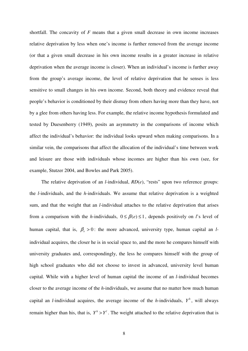shortfall. The concavity of *F* means that a given small decrease in own income increases relative deprivation by less when one's income is further removed from the average income (or that a given small decrease in his own income results in a greater increase in relative deprivation when the average income is closer). When an individual's income is further away from the group's average income, the level of relative deprivation that he senses is less sensitive to small changes in his own income. Second, both theory and evidence reveal that people's behavior is conditioned by their dismay from others having more than they have, not by a glee from others having less. For example, the relative income hypothesis formulated and tested by Duesenberry (1949), posits an asymmetry in the comparisons of income which affect the individual's behavior: the individual looks upward when making comparisons. In a similar vein, the comparisons that affect the allocation of the individual's time between work and leisure are those with individuals whose incomes are higher than his own (see, for example, Stutzer 2004, and Bowles and Park 2005).

The relative deprivation of an *l*-individual, *RD*(*e*), "rests" upon two reference groups: the *l*-individuals, and the *h*-individuals. We assume that relative deprivation is a weighted sum, and that the weight that an *l*-individual attaches to the relative deprivation that arises from a comparison with the *h*-individuals,  $0 \le \beta(e) \le 1$ , depends positively on *l*'s level of human capital, that is,  $\beta_e > 0$ : the more advanced, university type, human capital an *l*individual acquires, the closer he is in social space to, and the more he compares himself with university graduates and, correspondingly, the less he compares himself with the group of high school graduates who did not choose to invest in advanced, university level human capital. While with a higher level of human capital the income of an *l*-individual becomes closer to the average income of the *h*-individuals, we assume that no matter how much human capital an *l*-individual acquires, the average income of the *h*-individuals,  $Y^h$ , will always remain higher than his, that is,  $Y^h > Y^l$ . The weight attached to the relative deprivation that is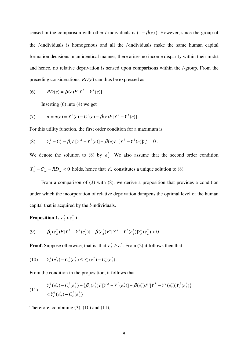sensed in the comparison with other *l*-individuals is  $(1 - \beta(e))$ . However, since the group of the *l*-individuals is homogenous and all the *l*-individuals make the same human capital formation decisions in an identical manner, there arises no income disparity within their midst and hence, no relative deprivation is sensed upon comparisons within the *l*-group. From the preceding considerations, *RD*(*e*) can thus be expressed as

(6) 
$$
RD(e) = \beta(e)F[Y^{h} - Y^{l}(e)].
$$

Inserting  $(6)$  into  $(4)$  we get

(7) 
$$
u = u(e) = Y^{l}(e) - C^{l}(e) - \beta(e)F[Y^{h} - Y^{l}(e)].
$$

For this utility function, the first order condition for a maximum is

(8) 
$$
Y_e^l - C_e^l - \beta_e F[Y^h - Y^l(e)] + \beta(e)F'[Y^h - Y^l(e)]Y_e^l = 0.
$$

We denote the solution to (8) by  $e_2^*$ . We also assume that the second order condition  $-C_{ee}^l - RD_{ee} < 0$ *ee*  $Y_{ee}^l - C_{ee}^l - RD_{ee} < 0$  holds, hence that  $e^*_{2}$  constitutes a unique solution to (8).

From a comparison of (3) with (8), we derive a proposition that provides a condition under which the incorporation of relative deprivation dampens the optimal level of the human capital that is acquired by the *l*-individuals.

**Proposition 1.**  $e_2^* < e_1^*$  $e_1^*$  if

$$
(9) \qquad \beta_e(e_2^*)F[Y^h-Y^l(e_2^*)]-\beta(e_2^*)F'[Y^h-Y^l(e_2^*)]Y^l_e(e_2^*)>0\,.
$$

**Proof.** Suppose otherwise, that is, that  $e_2^* \geq e_1^*$ \*  $e_2^* \geq e_1^*$ . From (2) it follows then that

$$
(10) \t Y_e^l(e_2^*) - C_e^l(e_2^*) \leq Y_e^l(e_1^*) - C_e^l(e_1^*).
$$

From the condition in the proposition, it follows that

(11) 
$$
Y_e^l(e_2^*) - C_e^l(e_2^*) - \{\beta_e(e_2^*)F[Y^h - Y^l(e_2^*)] - \beta(e_2^*)F'[Y^h - Y^l(e_2^*)]Y_e^l(e_2^*)\} Y_e^l(e_2^*) - C_e^l(e_2^*)
$$

Therefore, combining  $(3)$ ,  $(10)$  and  $(11)$ ,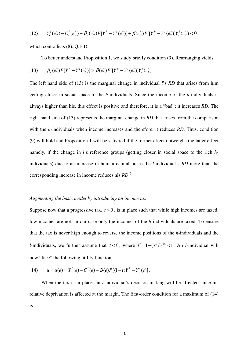$$
(12) \t Y_e^l(e_2^*) - C_e^l(e_2^*) - \beta_e(e_2^*)F[Y^h - Y^l(e_2^*)] + \beta(e_2^*)F'[Y^h - Y^l(e_2^*)]Y_e^l(e_2^*) < 0,
$$

which contradicts (8). Q.E.D.

To better understand Proposition 1, we study briefly condition (9). Rearranging yields

(13) 
$$
\beta_e(e_2^*)F[Y^h - Y^l(e_2^*)] > \beta(e_2^*)F'[Y^h - Y^l(e_2^*)]Y^l_e(e_2^*)
$$

The left hand side of (13) is the marginal change in individual *l*'s *RD* that arises from him getting closer in social space to the *h*-individuals. Since the income of the *h*-individuals is always higher than his, this effect is positive and therefore, it is a "bad"; it increases *RD*. The right hand side of (13) represents the marginal change in *RD* that arises from the comparison with the *h*-individuals when income increases and therefore, it reduces *RD*. Thus, condition (9) will hold and Proposition 1 will be satisfied if the former effect outweighs the latter effect namely, if the change in *l*'s reference groups (getting closer in social space to the rich *h*individuals) due to an increase in human capital raises the *l*-individual's *RD* more than the corresponding increase in income reduces his *RD*. 5

#### *Augmenting the basic model by introducing an income tax*

Suppose now that a progressive tax,  $t > 0$ , is in place such that while high incomes are taxed, low incomes are not. In our case only the incomes of the *h*-individuals are taxed. To ensure that the tax is never high enough to reverse the income positions of the *h*-individuals and the *l*-individuals, we further assume that  $t < t^*$ , where  $t^* = 1 - (Y^l / Y^h) < 1$ . An *l*-individual will now "face" the following utility function

(14) 
$$
u = u(e) = Y^{l}(e) - C^{l}(e) - \beta(e)F[(1-t)Y^{h} - Y^{l}(e)].
$$

When the tax is in place, an *l*-individual's decision making will be affected since his relative deprivation is affected at the margin. The first-order condition for a maximum of (14) is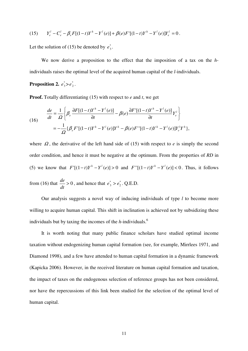(15) 
$$
Y_e^l - C_e^l - \beta_e F[(1-t)Y^h - Y^l(e)] + \beta(e)F'[1-t)Y^h - Y^l(e)]Y_e^l = 0.
$$

Let the solution of (15) be denoted by  $e_3^*$ .

We now derive a proposition to the effect that the imposition of a tax on the *h*individuals raises the optimal level of the acquired human capital of the *l*-individuals.

Proposition 2.  $e_3^*$ > $e_2^*$  $e_2^*$  .

**Proof.** Totally differentiating (15) with respect to *e* and *t*, we get

(16) 
$$
\frac{de}{dt} = \frac{1}{\Omega} \left\{ \beta_e \frac{\partial F[(1-t)Y^h - Y^l(e)]}{\partial t} - \beta(e) \frac{\partial F^r[(1-t)Y^h - Y^l(e)]}{\partial t} Y_e^l \right\}
$$

$$
= -\frac{1}{\Omega} \{ \beta_e F^r[(1-t)Y^h - Y^l(e)]Y^h - \beta(e)F^r[(1-t)Y^h - Y^l(e)]Y_e^l Y^h \},
$$

where  $\Omega$ , the derivative of the left hand side of (15) with respect to *e* is simply the second order condition, and hence it must be negative at the optimum. From the properties of *RD* in (5) we know that  $F'[(1-t)Y^h - Y^l(e)] > 0$  and  $F''[(1-t)Y^h - Y^l(e)] < 0$ . Thus, it follows from (16) that  $\frac{ac}{1} > 0$ *dt*  $\frac{de}{dt} > 0$ , and hence that  $e_3^* > e_2^*$ \*  $e_3^* > e_2^*$ . Q.E.D.

Our analysis suggests a novel way of inducing individuals of type *l* to become more willing to acquire human capital. This shift in inclination is achieved not by subsidizing these individuals but by taxing the incomes of the  $h$ -individuals.<sup>6</sup>

It is worth noting that many public finance scholars have studied optimal income taxation without endogenizing human capital formation (see, for example, Mirrlees 1971, and Diamond 1998), and a few have attended to human capital formation in a dynamic framework (Kapicka 2006). However, in the received literature on human capital formation and taxation, the impact of taxes on the endogenous selection of reference groups has not been considered, nor have the repercussions of this link been studied for the selection of the optimal level of human capital.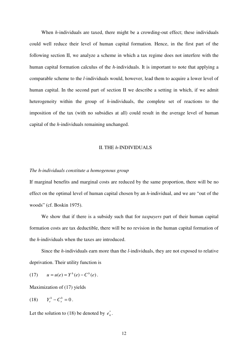When *h*-individuals are taxed, there might be a crowding-out effect; these individuals could well reduce their level of human capital formation. Hence, in the first part of the following section II, we analyze a scheme in which a tax regime does not interfere with the human capital formation calculus of the *h*-individuals. It is important to note that applying a comparable scheme to the *l*-individuals would, however, lead them to acquire a lower level of human capital. In the second part of section II we describe a setting in which, if we admit heterogeneity within the group of *h*-individuals, the complete set of reactions to the imposition of the tax (with no subsidies at all) could result in the average level of human capital of the *h*-individuals remaining unchanged.

#### II. THE *h*-INDIVIDUALS

#### *The h-individuals constitute a homogenous group*

If marginal benefits and marginal costs are reduced by the same proportion, there will be no effect on the optimal level of human capital chosen by an *h*-individual, and we are "out of the woods" (cf. Boskin 1975).

We show that if there is a subsidy such that for *taxpayers* part of their human capital formation costs are tax deductible, there will be no revision in the human capital formation of the *h*-individuals when the taxes are introduced.

Since the *h*-individuals earn more than the *l*-individuals, they are not exposed to relative deprivation. Their utility function is

(17) 
$$
u = u(e) = Y^h(e) - C^h(e).
$$

Maximization of (17) yields

$$
(18) \qquad Y_e^h - C_e^h = 0 \, .
$$

Let the solution to (18) be denoted by  $e_4^*$ .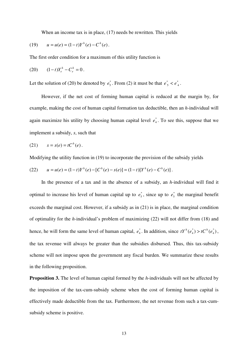When an income tax is in place, (17) needs be rewritten. This yields

(19) 
$$
u = u(e) = (1-t)Y^h(e) - C^h(e).
$$

The first order condition for a maximum of this utility function is

(20) 
$$
(1-t)Y_e^h - C_e^h = 0.
$$

Let the solution of (20) be denoted by  $e_5^*$ . From (2) it must be that  $e_5^* < e_4^*$ \*  $e^*$ <sub>5</sub> <  $e^*$ <sub>4</sub>.

However, if the net cost of forming human capital is reduced at the margin by, for example, making the cost of human capital formation tax deductible, then an *h*-individual will again maximize his utility by choosing human capital level  $e_4^*$ . To see this, suppose that we implement a subsidy, *s*, such that

$$
(21) \qquad s = s(e) = tC^h(e).
$$

Modifying the utility function in (19) to incorporate the provision of the subsidy yields

(22) 
$$
u = u(e) = (1-t)Y^{h}(e) - [C^{h}(e) - s(e)] = (1-t)[Y^{h}(e) - C^{h}(e)].
$$

In the presence of a tax and in the absence of a subsidy, an *h*-individual will find it optimal to increase his level of human capital up to  $e_5^*$ , since up to  $e_5^*$  the marginal benefit exceeds the marginal cost. However, if a subsidy as in (21) is in place, the marginal condition of optimality for the *h*-individual's problem of maximizing (22) will not differ from (18) and hence, he will form the same level of human capital,  $e_4^*$  $e_4^*$ . In addition, since  $tY^h(e_4^*) > tC^h(e_4^*)$ 4 \*  $tY^{h}(e_{4}^{*}) > tC^{h}(e_{4}^{*}),$ the tax revenue will always be greater than the subsidies disbursed. Thus, this tax-subsidy scheme will not impose upon the government any fiscal burden. We summarize these results in the following proposition.

**Proposition 3.** The level of human capital formed by the *h*-individuals will not be affected by the imposition of the tax-cum-subsidy scheme when the cost of forming human capital is effectively made deductible from the tax. Furthermore, the net revenue from such a tax-cumsubsidy scheme is positive.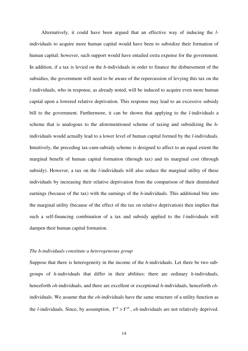Alternatively, it could have been argued that an effective way of inducing the *l*individuals to acquire more human capital would have been to subsidize their formation of human capital; however, such support would have entailed extra expense for the government. In addition, if a tax is levied on the *h*-individuals in order to finance the disbursement of the subsidies, the government will need to be aware of the repercussion of levying this tax on the *l*-individuals, who in response, as already noted, will be induced to acquire even more human capital upon a lowered relative deprivation. This response may lead to an excessive subsidy bill to the government. Furthermore, it can be shown that applying to the *l*-individuals a scheme that is analogous to the aforementioned scheme of taxing and subsidizing the *h*individuals would actually lead to a lower level of human capital formed by the *l*-individuals. Intuitively, the preceding tax-cum-subsidy scheme is designed to affect to an equal extent the marginal benefit of human capital formation (through tax) and its marginal cost (through subsidy). However, a tax on the *l*-individuals will also reduce the marginal utility of these individuals by increasing their relative deprivation from the comparison of their diminished earnings (because of the tax) with the earnings of the *h*-individuals. This additional bite into the marginal utility (because of the effect of the tax on relative deprivation) then implies that such a self-financing combination of a tax and subsidy applied to the *l*-individuals will dampen their human capital formation.

#### *The h-individuals constitute a heterogeneous group*

Suppose that there is heterogeneity in the income of the *h*-individuals. Let there be two subgroups of *h*-individuals that differ in their abilities: there are ordinary *h*-individuals, henceforth *oh*-individuals, and there are excellent or exceptional *h*-individuals, henceforth *eh*individuals. We assume that the *oh*-individuals have the same structure of a utility function as the *l*-individuals. Since, by assumption,  $Y^{eh} > Y^{oh}$ , *eh*-individuals are not relatively deprived.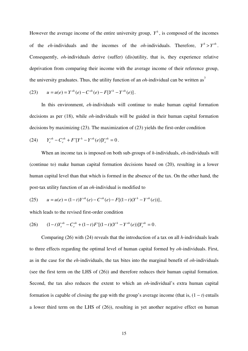However the average income of the entire university group,  $Y<sup>h</sup>$ , is composed of the incomes of the *eh*-individuals and the incomes of the *oh*-individuals. Therefore,  $Y^h > Y^{oh}$ . Consequently, *oh*-individuals derive (suffer) (dis)utility, that is, they experience relative deprivation from comparing their income with the average income of their reference group, the university graduates. Thus, the utility function of an  $oh$ -individual can be written as<sup>7</sup>

(23) 
$$
u = u(e) = Y^{oh}(e) - C^{oh}(e) - F[Y^h - Y^{oh}(e)].
$$

In this environment, *eh*-individuals will continue to make human capital formation decisions as per (18), while *oh*-individuals will be guided in their human capital formation decisions by maximizing (23). The maximization of (23) yields the first-order condition

(24) 
$$
Y_e^{oh} - C_e^{oh} + F'[Y^h - Y^{oh}(e)]Y_e^{oh} = 0.
$$

When an income tax is imposed on both sub-groups of *h*-individuals, *eh*-individuals will (continue to) make human capital formation decisions based on (20), resulting in a lower human capital level than that which is formed in the absence of the tax. On the other hand, the post-tax utility function of an *oh*-individual is modified to

$$
(25) \qquad u = u(e) = (1-t)Y^{oh}(e) - C^{oh}(e) - F[(1-t)(Y^h - Y^{oh}(e))],
$$

which leads to the revised first-order condition

$$
(26) \qquad (1-t)Y_e^{oh} - C_e^{oh} + (1-t)F'[(1-t)(Y^h - Y^{oh}(e))]Y_e^{oh} = 0.
$$

Comparing (26) with (24) reveals that the introduction of a tax on all *h*-individuals leads to three effects regarding the optimal level of human capital formed by *oh*-individuals. First, as in the case for the *eh*-individuals, the tax bites into the marginal benefit of *oh*-individuals (see the first term on the LHS of (26)) and therefore reduces their human capital formation. Second, the tax also reduces the extent to which an *oh*-individual's extra human capital formation is capable of closing the gap with the group's average income (that is,  $(1 - t)$ ) entails a lower third term on the LHS of (26)), resulting in yet another negative effect on human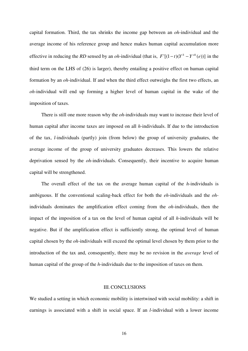capital formation. Third, the tax shrinks the income gap between an *oh*-individual and the average income of his reference group and hence makes human capital accumulation more effective in reducing the *RD* sensed by an *oh*-individual (that is,  $F'[(1-t)(Y^h - Y^{oh}(e))]$  in the third term on the LHS of (26) is larger), thereby entailing a positive effect on human capital formation by an *oh*-individual. If and when the third effect outweighs the first two effects, an *oh*-individual will end up forming a higher level of human capital in the wake of the imposition of taxes.

There is still one more reason why the *oh*-individuals may want to increase their level of human capital after income taxes are imposed on all *h*-individuals. If due to the introduction of the tax, *l*-individuals (partly) join (from below) the group of university graduates, the average income of the group of university graduates decreases. This lowers the relative deprivation sensed by the *oh*-individuals. Consequently, their incentive to acquire human capital will be strengthened.

The overall effect of the tax on the average human capital of the *h*-individuals is ambiguous. If the conventional scaling-back effect for both the *eh*-individuals and the *oh*individuals dominates the amplification effect coming from the *oh*-individuals, then the impact of the imposition of a tax on the level of human capital of all *h*-individuals will be negative. But if the amplification effect is sufficiently strong, the optimal level of human capital chosen by the *oh*-individuals will exceed the optimal level chosen by them prior to the introduction of the tax and, consequently, there may be no revision in the *average* level of human capital of the group of the *h*-individuals due to the imposition of taxes on them.

#### III. CONCLUSIONS

We studied a setting in which economic mobility is intertwined with social mobility: a shift in earnings is associated with a shift in social space. If an *l*-individual with a lower income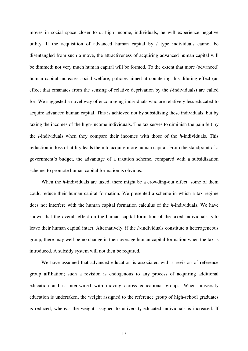moves in social space closer to *h*, high income, individuals, he will experience negative utility. If the acquisition of advanced human capital by *l* type individuals cannot be disentangled from such a move, the attractiveness of acquiring advanced human capital will be dimmed; not very much human capital will be formed. To the extent that more (advanced) human capital increases social welfare, policies aimed at countering this diluting effect (an effect that emanates from the sensing of relative deprivation by the *l*-individuals) are called for. We suggested a novel way of encouraging individuals who are relatively less educated to acquire advanced human capital. This is achieved not by subsidizing these individuals, but by taxing the incomes of the high-income individuals. The tax serves to diminish the pain felt by the *l*-individuals when they compare their incomes with those of the *h*-individuals. This reduction in loss of utility leads them to acquire more human capital. From the standpoint of a government's budget, the advantage of a taxation scheme, compared with a subsidization scheme, to promote human capital formation is obvious.

When the *h*-individuals are taxed, there might be a crowding-out effect: some of them could reduce their human capital formation. We presented a scheme in which a tax regime does not interfere with the human capital formation calculus of the *h*-individuals. We have shown that the overall effect on the human capital formation of the taxed individuals is to leave their human capital intact. Alternatively, if the *h*-individuals constitute a heterogeneous group, there may well be no change in their average human capital formation when the tax is introduced. A subsidy system will not then be required.

We have assumed that advanced education is associated with a revision of reference group affiliation; such a revision is endogenous to any process of acquiring additional education and is intertwined with moving across educational groups. When university education is undertaken, the weight assigned to the reference group of high-school graduates is reduced, whereas the weight assigned to university-educated individuals is increased. If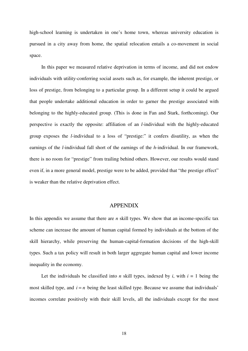high-school learning is undertaken in one's home town, whereas university education is pursued in a city away from home, the spatial relocation entails a co-movement in social space.

In this paper we measured relative deprivation in terms of income, and did not endow individuals with utility-conferring social assets such as, for example, the inherent prestige, or loss of prestige, from belonging to a particular group. In a different setup it could be argued that people undertake additional education in order to garner the prestige associated with belonging to the highly-educated group. (This is done in Fan and Stark, forthcoming). Our perspective is exactly the opposite: affiliation of an *l*-individual with the highly-educated group exposes the *l*-individual to a loss of "prestige:" it confers disutility, as when the earnings of the *l*-individual fall short of the earnings of the *h*-individual. In our framework, there is no room for "prestige" from trailing behind others. However, our results would stand even if, in a more general model, prestige were to be added, provided that "the prestige effect" is weaker than the relative deprivation effect.

### APPENDIX

In this appendix we assume that there are *n* skill types. We show that an income-specific tax scheme can increase the amount of human capital formed by individuals at the bottom of the skill hierarchy, while preserving the human-capital-formation decisions of the high-skill types. Such a tax policy will result in both larger aggregate human capital and lower income inequality in the economy.

Let the individuals be classified into *n* skill types, indexed by *i*, with  $i = 1$  being the most skilled type, and  $i = n$  being the least skilled type. Because we assume that individuals' incomes correlate positively with their skill levels, all the individuals except for the most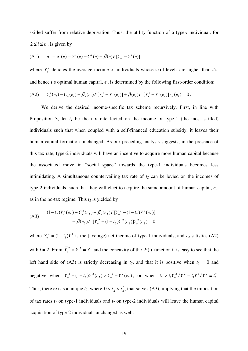skilled suffer from relative deprivation. Thus, the utility function of a type-*i* individual, for  $2 \le i \le n$ , is given by

(A1) 
$$
u^{i} = u^{i}(e) = Y^{i}(e) - C^{i}(e) - \beta(e)F[\overline{Y}_{+}^{i} - Y^{i}(e)]
$$

where  $\overline{Y}_+^i$  denotes the average income of individuals whose skill levels are higher than *i*'s, and hence *i*'s optimal human capital,  $e_i$ , is determined by the following first-order condition:

(A2) 
$$
Y_e^i(e_i) - C_e^i(e_i) - \beta_e(e_i)F[\overline{Y}_+^i - Y^i(e_i)] + \beta(e_i)F'[\overline{Y}_+^i - Y^i(e_i)]Y_e^i(e_i) = 0.
$$

We derive the desired income-specific tax scheme recursively. First, in line with Proposition 3, let  $t_1$  be the tax rate levied on the income of type-1 (the most skilled) individuals such that when coupled with a self-financed education subsidy, it leaves their human capital formation unchanged. As our preceding analysis suggests, in the presence of this tax rate, type-2 individuals will have an incentive to acquire more human capital because the associated move in "social space" towards the type-1 individuals becomes less intimidating. A simultaneous countervailing tax rate of *t2* can be levied on the incomes of type-2 individuals, such that they will elect to acquire the same amount of human capital, *e2*, as in the no-tax regime. This *t2* is yielded by

(A3) 
$$
(1-t_2)Y_e^2(e_2) - C_e^2(e_2) - \beta_e(e_2)F[\overline{Y}_+^2 - (1-t_2)Y^2(e_2)] + \beta(e_2)F'[\overline{Y}_+^2 - (1-t_2)Y^2(e_2)]Y_e^2(e_2) = 0
$$

where  $\overline{Y}_+^2 = (1 - t_1)Y^1$  $\overline{Y}_+^2 = (1 - t_1)Y^1$  is the (average) net income of type-1 individuals, and  $e_2$  satisfies (A2) with  $i = 2$ . From  $\overline{Y}_+^2 < \overline{Y}_+^2 = Y^1$  and the concavity of the  $F(\cdot)$  function it is easy to see that the left hand side of (A3) is strictly decreasing in  $t_2$ , and that it is positive when  $t_2 = 0$  and negative when  $\overline{Y}_+^2 - (1 - t_2) Y^2(e_2) > \overline{Y}_+^2 - Y^2(e_2)$ 2 2 2  $\overline{Y}_+^2 - (1 - t_2)Y^2(e_2) > \overline{Y}_+^2 - Y^2(e_2)$ , or when  $t_2 > t_1\overline{Y}_+^2/Y^2 = t_1Y^1/Y^2 \equiv t_2^*$  $1/V^2$ 1 2  $\sqrt{V^2}$  $t_2 > t_1 Y_+^2 / Y^2 = t_1 Y^1 / Y^2 \equiv t_2^*$ . Thus, there exists a unique  $t_2$ , where  $0 < t_2 < t_2^*$ , that solves (A3), implying that the imposition of tax rates *t1* on type-1 individuals and *t2* on type-2 individuals will leave the human capital acquisition of type-2 individuals unchanged as well.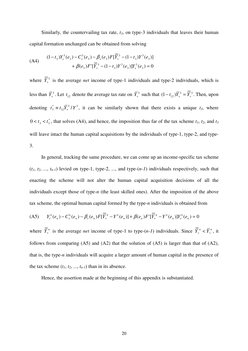Similarly, the countervailing tax rate, *t3*, on type-3 individuals that leaves their human capital formation unchanged can be obtained from solving

$$
(A4) \qquad (1-t_3)Y_e^3(e_3) - C_e^3(e_3) - \beta_e(e_3)F[\overline{\overline{Y}}_+^3 - (1-t_3)Y^3(e_3)]
$$
  
+  $\beta(e_3)F'[\overline{\overline{Y}}_+^3 - (1-t_3)Y^3(e_3)]Y_e^3(e_3) = 0$ 

where  $\overline{Y}_+^3$  is the average *net* income of type-1 individuals and type-2 individuals, which is less than  $\overline{Y}_+^3$ . Let  $t_{12}$  denote the average tax rate on  $\overline{Y}_+^3$  such that  $(1-t_{12})\overline{Y}_+^3 = \overline{Y}_+^3$ . Then, upon denoting  $t_3^* \equiv t_{12} \overline{Y}_+^3 / Y^3$ \*  $t_3^* = t_{12} Y_+^3 / Y^3$ , it can be similarly shown that there exists a unique  $t_3$ , where \*  $0 < t_3 < t_3^*$ , that solves (A4), and hence, the imposition thus far of the tax scheme  $t_1, t_2$ , and  $t_3$ will leave intact the human capital acquisitions by the individuals of type-1, type-2, and type-3.

In general, tracking the same procedure, we can come up an income-specific tax scheme  $(t_1, t_2, ..., t_{n-1})$  levied on type-1, type-2, ..., and type- $(n-1)$  individuals respectively, such that enacting the scheme will not alter the human capital acquisition decisions of all the individuals except those of type-*n* (the least skilled ones). After the imposition of the above tax scheme, the optimal human capital formed by the type-*n* individuals is obtained from

$$
(A5) \t Y_e^n(e_n) - C_e^n(e_n) - \beta_e(e_n)F[\overline{\overline{Y}}_i^n - Y^n(e_n)] + \beta(e_n)F'[\overline{\overline{Y}}_i^n - Y^n(e_n)]Y_e^n(e_n) = 0
$$

where  $\overline{Y}_+^n$  is the average *net* income of type-1 to type-(*n-1*) individuals. Since  $\overline{Y}_+^n < \overline{Y}_+^n$ , it follows from comparing  $(A5)$  and  $(A2)$  that the solution of  $(A5)$  is larger than that of  $(A2)$ , that is, the type-*n* individuals will acquire a larger amount of human capital in the presence of the tax scheme  $(t_1, t_2, ..., t_{n-1})$  than in its absence.

Hence, the assertion made at the beginning of this appendix is substantiated.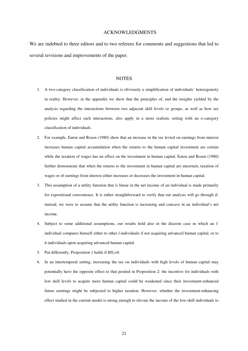#### ACKNOWLEDGMENTS

We are indebted to three editors and to two referees for comments and suggestions that led to several revisions and improvements of the paper.

#### **NOTES**

- 1. A two-category classification of individuals is obviously a simplification of individuals' heterogeneity in reality. However, in the appendix we show that the principles of, and the insights yielded by the analysis regarding the interactions between two adjacent skill levels or groups, as well as how tax policies might affect such interactions, also apply in a more realistic setting with an *n*-category classification of individuals.
- 2. For example, Eaton and Rosen (1980) show that an increase in the tax levied on earnings from interest increases human capital accumulation when the returns to the human capital investment are certain while the taxation of wages has no effect on the investment in human capital. Eaton and Rosen (1980) further demonstrate that when the returns to the investment in human capital are uncertain, taxation of wages or of earnings from interest either increases or decreases the investment in human capital.
- 3. This assumption of a utility function that is linear in the net income of an individual is made primarily for expositional convenience. It is rather straightforward to verify that our analysis will go through if, instead, we were to assume that the utility function is increasing and concave in an individual's net income.
- 4. Subject to some additional assumptions, our results hold also in the discrete case in which an *l*individual compares himself either to other *l*-individuals if not acquiring advanced human capital, or to *h*-individuals upon acquiring advanced human capital.
- 5. Put differently, Proposition 1 holds if *RDe*>0.
- 6. In an intertemporal setting, increasing the tax on individuals with high levels of human capital may potentially have the opposite effect to that posited in Proposition 2: the incentive for individuals with low skill levels to acquire more human capital could be weakened since their investment-enhanced future earnings might be subjected to higher taxation. However, whether the investment-enhancing effect studied in the current model is strong enough to elevate the income of the low-skill individuals to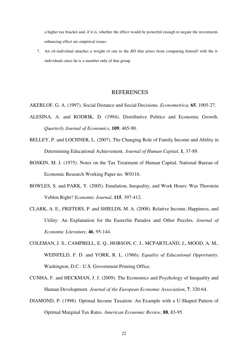a higher tax bracket and, if it is, whether the effect would be powerful enough to negate the investmentenhancing effect are empirical issues.

7. An *oh*-individual attaches a weight of one to the *RD* that arises from comparing himself with the *h*individuals since he is a member only of that group.

### REFERENCES

AKERLOF, G. A. (1997). Social Distance and Social Decisions. *Econometrica*, **65**, 1005-27.

- ALESINA, A. and RODRIK, D. (1994). Distributive Politics and Economic Growth. *Quarterly Journal of Economics*, **109**, 465-90.
- BELLEY, P. and LOCHNER, L. (2007). The Changing Role of Family Income and Ability in Determining Educational Achievement. *Journal of Human Capital*, **1**, 37-89.
- BOSKIN, M. J. (1975). Notes on the Tax Treatment of Human Capital. National Bureau of Economic Research Working Paper no. W0116.
- BOWLES, S. and PARK, Y. (2005). Emulation, Inequality, and Work Hours: Was Thorstein Veblen Right? *Economic Journal*, **115**, 397-412.
- CLARK, A. E., FRIJTERS, P. and SHIELDS, M. A. (2008). Relative Income, Happiness, and Utility: An Explanation for the Easterlin Paradox and Other Puzzles. *Journal of Economic Literature*, **46**, 95-144.
- COLEMAN, J. S., CAMPBELL, E. Q., HOBSON, C. J., MCPARTLAND, J., MOOD, A. M., WEINFELD, F. D. and YORK, R. L. (1966). *Equality of Educational Opportunity*. Washington, D.C.: U.S. Government Printing Office.
- CUNHA, F. and HECKMAN, J. J. (2009). The Economics and Psychology of Inequality and Human Development. *Journal of the European Economic Association*, **7**, 320-64.
- DIAMOND, P. (1998). Optimal Income Taxation: An Example with a U-Shaped Pattern of Optimal Marginal Tax Rates. *American Economic Review*, **88**, 83-95.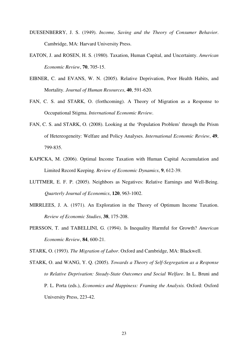- DUESENBERRY, J. S. (1949). *Income, Saving and the Theory of Consumer Behavior*. Cambridge, MA: Harvard University Press.
- EATON, J. and ROSEN, H. S. (1980). Taxation, Human Capital, and Uncertainty. *American Economic Review*, **70**, 705-15.
- EIBNER, C. and EVANS, W. N. (2005). Relative Deprivation, Poor Health Habits, and Mortality. *Journal of Human Resources*, **40**, 591-620.
- FAN, C. S. and STARK, O. (forthcoming). A Theory of Migration as a Response to Occupational Stigma. *International Economic Review*.
- FAN, C. S. and STARK, O. (2008). Looking at the 'Population Problem' through the Prism of Hetereogeneity: Welfare and Policy Analyses. *International Economic Review*, **49**, 799-835.
- KAPICKA, M. (2006). Optimal Income Taxation with Human Capital Accumulation and Limited Record Keeping. *Review of Economic Dynamics*, **9**, 612-39.
- LUTTMER, E. F. P. (2005). Neighbors as Negatives: Relative Earnings and Well-Being. *Quarterly Journal of Economics*, **120**, 963-1002.
- MIRRLEES, J. A. (1971). An Exploration in the Theory of Optimum Income Taxation. *Review of Economic Studies*, **38**, 175-208.
- PERSSON, T. and TABELLINI, G. (1994). Is Inequality Harmful for Growth? *American Economic Review*, **84**, 600-21.

STARK, O. (1993). *The Migration of Labor*. Oxford and Cambridge, MA: Blackwell.

STARK, O. and WANG, Y. Q. (2005). *Towards a Theory of Self-Segregation as a Response to Relative Deprivation: Steady-State Outcomes and Social Welfare*. In L. Bruni and P. L. Porta (eds.), *Economics and Happiness: Framing the Analysis.* Oxford: Oxford University Press, 223-42.